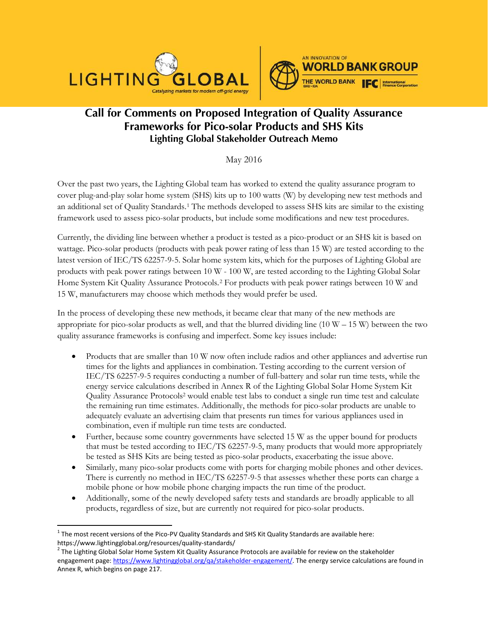



# **Call for Comments on Proposed Integration of Quality Assurance Frameworks for Pico-solar Products and SHS Kits Lighting Global Stakeholder Outreach Memo**

May 2016

Over the past two years, the Lighting Global team has worked to extend the quality assurance program to cover plug-and-play solar home system (SHS) kits up to 100 watts (W) by developing new test methods and an additional set of Quality Standards[.1](#page-0-0) The methods developed to assess SHS kits are similar to the existing framework used to assess pico-solar products, but include some modifications and new test procedures.

Currently, the dividing line between whether a product is tested as a pico-product or an SHS kit is based on wattage. Pico-solar products (products with peak power rating of less than 15 W) are tested according to the latest version of IEC/TS 62257-9-5. Solar home system kits, which for the purposes of Lighting Global are products with peak power ratings between 10 W - 100 W, are tested according to the Lighting Global Solar Home System Kit Quality Assurance Protocols.[2](#page-0-1) For products with peak power ratings between 10 W and 15 W, manufacturers may choose which methods they would prefer be used.

In the process of developing these new methods, it became clear that many of the new methods are appropriate for pico-solar products as well, and that the blurred dividing line  $(10 W - 15 W)$  between the two quality assurance frameworks is confusing and imperfect. Some key issues include:

- Products that are smaller than 10 W now often include radios and other appliances and advertise run times for the lights and appliances in combination. Testing according to the current version of IEC/TS 62257-9-5 requires conducting a number of full-battery and solar run time tests, while the energy service calculations described in Annex R of the Lighting Global Solar Home System Kit Quality Assurance Protocols2 would enable test labs to conduct a single run time test and calculate the remaining run time estimates. Additionally, the methods for pico-solar products are unable to adequately evaluate an advertising claim that presents run times for various appliances used in combination, even if multiple run time tests are conducted.
- Further, because some country governments have selected 15 W as the upper bound for products that must be tested according to IEC/TS 62257-9-5, many products that would more appropriately be tested as SHS Kits are being tested as pico-solar products, exacerbating the issue above.
- Similarly, many pico-solar products come with ports for charging mobile phones and other devices. There is currently no method in IEC/TS 62257-9-5 that assesses whether these ports can charge a mobile phone or how mobile phone charging impacts the run time of the product.
- Additionally, some of the newly developed safety tests and standards are broadly applicable to all products, regardless of size, but are currently not required for pico-solar products.

<span id="page-0-0"></span> $1$  The most recent versions of the Pico-PV Quality Standards and SHS Kit Quality Standards are available here: https://www.lightingglobal.org/resources/quality-standards/<br>
<sup>2</sup> The Lighting Global Solar Home System Kit Quality Assurance Protocols are available for review on the stakeholder

<span id="page-0-1"></span>engagement page: [https://www.lightingglobal.org/qa/stakeholder-engagement/.](https://www.lightingglobal.org/qa/stakeholder-engagement/) The energy service calculations are found in Annex R, which begins on page 217.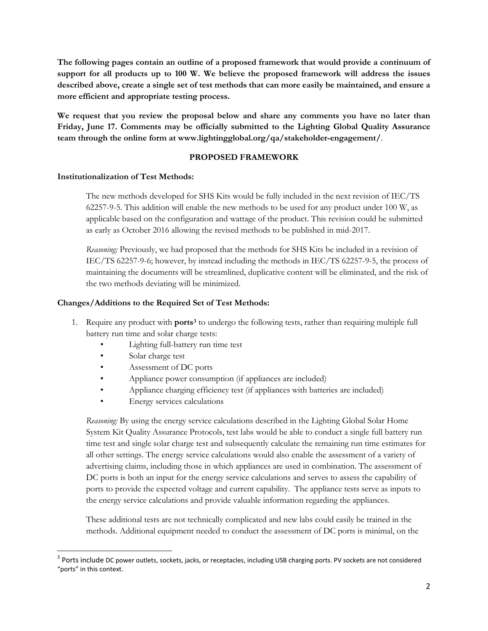**The following pages contain an outline of a proposed framework that would provide a continuum of support for all products up to 100 W. We believe the proposed framework will address the issues described above, create a single set of test methods that can more easily be maintained, and ensure a more efficient and appropriate testing process.** 

**We request that you review the proposal below and share any comments you have no later than Friday, June 17. Comments may be officially submitted to the Lighting Global Quality Assurance team through the online form at www.lightingglobal.org/qa/stakeholder-engagement/**.

## **PROPOSED FRAMEWORK**

## **Institutionalization of Test Methods:**

The new methods developed for SHS Kits would be fully included in the next revision of IEC/TS 62257-9-5. This addition will enable the new methods to be used for any product under 100 W, as applicable based on the configuration and wattage of the product. This revision could be submitted as early as October 2016 allowing the revised methods to be published in mid-2017.

*Reasoning:* Previously, we had proposed that the methods for SHS Kits be included in a revision of IEC/TS 62257-9-6; however, by instead including the methods in IEC/TS 62257-9-5, the process of maintaining the documents will be streamlined, duplicative content will be eliminated, and the risk of the two methods deviating will be minimized.

## **Changes/Additions to the Required Set of Test Methods:**

- 1. Require any product with **ports[3](#page-1-0)** to undergo the following tests, rather than requiring multiple full battery run time and solar charge tests:
	- Lighting full-battery run time test
	- Solar charge test
	- Assessment of DC ports
	- Appliance power consumption (if appliances are included)
	- Appliance charging efficiency test (if appliances with batteries are included)
	- Energy services calculations

*Reasoning:* By using the energy service calculations described in the Lighting Global Solar Home System Kit Quality Assurance Protocols, test labs would be able to conduct a single full battery run time test and single solar charge test and subsequently calculate the remaining run time estimates for all other settings. The energy service calculations would also enable the assessment of a variety of advertising claims, including those in which appliances are used in combination. The assessment of DC ports is both an input for the energy service calculations and serves to assess the capability of ports to provide the expected voltage and current capability. The appliance tests serve as inputs to the energy service calculations and provide valuable information regarding the appliances.

These additional tests are not technically complicated and new labs could easily be trained in the methods. Additional equipment needed to conduct the assessment of DC ports is minimal, on the

<span id="page-1-0"></span><sup>&</sup>lt;sup>3</sup> Ports include DC power outlets, sockets, jacks, or receptacles, including USB charging ports. PV sockets are not considered "ports" in this context.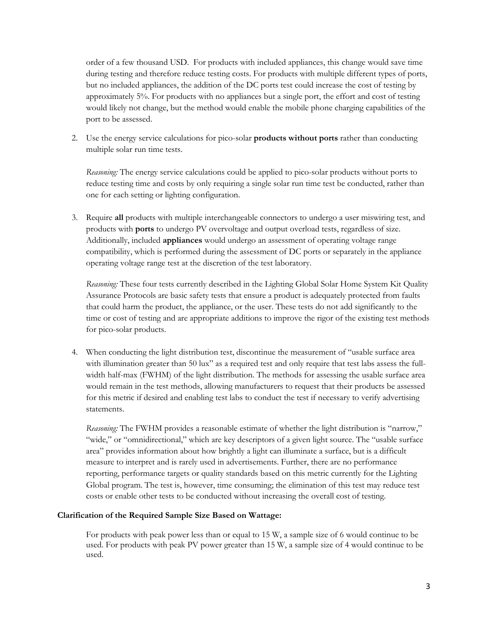order of a few thousand USD. For products with included appliances, this change would save time during testing and therefore reduce testing costs. For products with multiple different types of ports, but no included appliances, the addition of the DC ports test could increase the cost of testing by approximately 5%. For products with no appliances but a single port, the effort and cost of testing would likely not change, but the method would enable the mobile phone charging capabilities of the port to be assessed.

2. Use the energy service calculations for pico-solar **products without ports** rather than conducting multiple solar run time tests.

*Reasoning:* The energy service calculations could be applied to pico-solar products without ports to reduce testing time and costs by only requiring a single solar run time test be conducted, rather than one for each setting or lighting configuration.

3. Require **all** products with multiple interchangeable connectors to undergo a user miswiring test, and products with **ports** to undergo PV overvoltage and output overload tests, regardless of size. Additionally, included **appliances** would undergo an assessment of operating voltage range compatibility, which is performed during the assessment of DC ports or separately in the appliance operating voltage range test at the discretion of the test laboratory.

*Reasoning:* These four tests currently described in the Lighting Global Solar Home System Kit Quality Assurance Protocols are basic safety tests that ensure a product is adequately protected from faults that could harm the product, the appliance, or the user. These tests do not add significantly to the time or cost of testing and are appropriate additions to improve the rigor of the existing test methods for pico-solar products.

4. When conducting the light distribution test, discontinue the measurement of "usable surface area with illumination greater than 50 lux" as a required test and only require that test labs assess the fullwidth half-max (FWHM) of the light distribution. The methods for assessing the usable surface area would remain in the test methods, allowing manufacturers to request that their products be assessed for this metric if desired and enabling test labs to conduct the test if necessary to verify advertising statements.

*Reasoning:* The FWHM provides a reasonable estimate of whether the light distribution is "narrow," "wide," or "omnidirectional," which are key descriptors of a given light source. The "usable surface area" provides information about how brightly a light can illuminate a surface, but is a difficult measure to interpret and is rarely used in advertisements. Further, there are no performance reporting, performance targets or quality standards based on this metric currently for the Lighting Global program. The test is, however, time consuming; the elimination of this test may reduce test costs or enable other tests to be conducted without increasing the overall cost of testing.

## **Clarification of the Required Sample Size Based on Wattage:**

For products with peak power less than or equal to 15 W, a sample size of 6 would continue to be used. For products with peak PV power greater than 15 W, a sample size of 4 would continue to be used.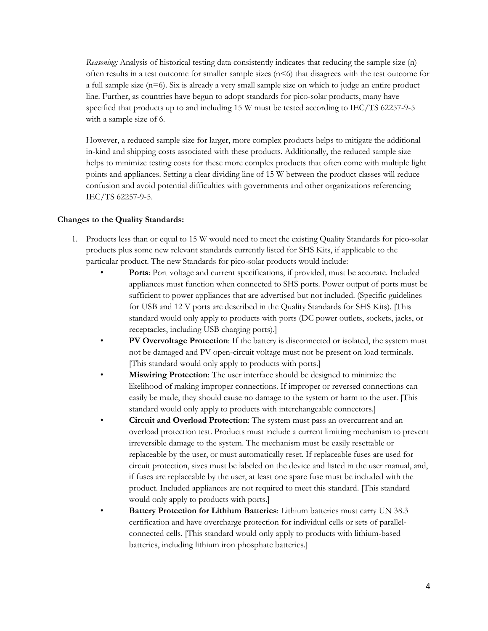*Reasoning:* Analysis of historical testing data consistently indicates that reducing the sample size (n) often results in a test outcome for smaller sample sizes  $(n\leq 6)$  that disagrees with the test outcome for a full sample size (n=6). Six is already a very small sample size on which to judge an entire product line. Further, as countries have begun to adopt standards for pico-solar products, many have specified that products up to and including 15 W must be tested according to IEC/TS 62257-9-5 with a sample size of 6.

However, a reduced sample size for larger, more complex products helps to mitigate the additional in-kind and shipping costs associated with these products. Additionally, the reduced sample size helps to minimize testing costs for these more complex products that often come with multiple light points and appliances. Setting a clear dividing line of 15 W between the product classes will reduce confusion and avoid potential difficulties with governments and other organizations referencing IEC/TS 62257-9-5.

## **Changes to the Quality Standards:**

- 1. Products less than or equal to 15 W would need to meet the existing Quality Standards for pico-solar products plus some new relevant standards currently listed for SHS Kits, if applicable to the particular product. The new Standards for pico-solar products would include:
	- **Ports**: Port voltage and current specifications, if provided, must be accurate. Included appliances must function when connected to SHS ports. Power output of ports must be sufficient to power appliances that are advertised but not included. (Specific guidelines for USB and 12 V ports are described in the Quality Standards for SHS Kits). [This standard would only apply to products with ports (DC power outlets, sockets, jacks, or receptacles, including USB charging ports).]
	- **PV Overvoltage Protection**: If the battery is disconnected or isolated, the system must not be damaged and PV open-circuit voltage must not be present on load terminals. [This standard would only apply to products with ports.]
	- **Miswiring Protection**: The user interface should be designed to minimize the likelihood of making improper connections. If improper or reversed connections can easily be made, they should cause no damage to the system or harm to the user. [This standard would only apply to products with interchangeable connectors.]
	- **Circuit and Overload Protection**: The system must pass an overcurrent and an overload protection test. Products must include a current limiting mechanism to prevent irreversible damage to the system. The mechanism must be easily resettable or replaceable by the user, or must automatically reset. If replaceable fuses are used for circuit protection, sizes must be labeled on the device and listed in the user manual, and, if fuses are replaceable by the user, at least one spare fuse must be included with the product. Included appliances are not required to meet this standard. [This standard would only apply to products with ports.]
	- **Battery Protection for Lithium Batteries**: Lithium batteries must carry UN 38.3 certification and have overcharge protection for individual cells or sets of parallelconnected cells. [This standard would only apply to products with lithium-based batteries, including lithium iron phosphate batteries.]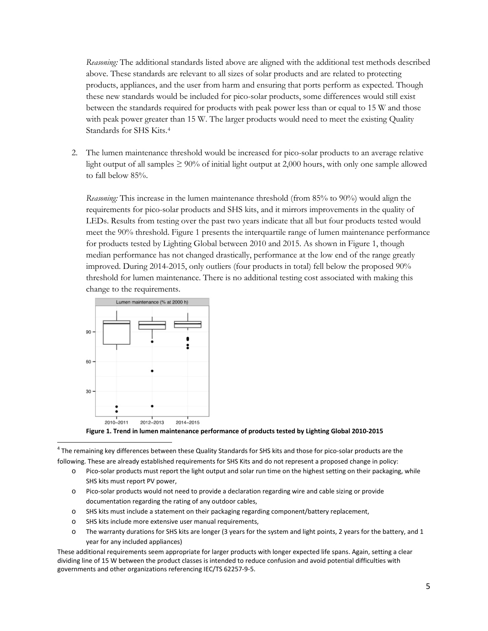*Reasoning:* The additional standards listed above are aligned with the additional test methods described above. These standards are relevant to all sizes of solar products and are related to protecting products, appliances, and the user from harm and ensuring that ports perform as expected. Though these new standards would be included for pico-solar products, some differences would still exist between the standards required for products with peak power less than or equal to 15 W and those with peak power greater than 15 W. The larger products would need to meet the existing Quality Standards for SHS Kits[.4](#page-4-0)

2. The lumen maintenance threshold would be increased for pico-solar products to an average relative light output of all samples  $\geq 90\%$  of initial light output at 2,000 hours, with only one sample allowed to fall below 85%.

*Reasoning:* This increase in the lumen maintenance threshold (from 85% to 90%) would align the requirements for pico-solar products and SHS kits, and it mirrors improvements in the quality of LEDs. Results from testing over the past two years indicate that all but four products tested would meet the 90% threshold. Figure 1 presents the interquartile range of lumen maintenance performance for products tested by Lighting Global between 2010 and 2015. As shown in Figure 1, though median performance has not changed drastically, performance at the low end of the range greatly improved. During 2014-2015, only outliers (four products in total) fell below the proposed 90% threshold for lumen maintenance. There is no additional testing cost associated with making this change to the requirements.





<span id="page-4-0"></span> $4$  The remaining key differences between these Quality Standards for SHS kits and those for pico-solar products are the following. These are already established requirements for SHS Kits and do not represent a proposed change in policy:

- o Pico-solar products must report the light output and solar run time on the highest setting on their packaging, while SHS kits must report PV power,
- o Pico-solar products would not need to provide a declaration regarding wire and cable sizing or provide documentation regarding the rating of any outdoor cables,
- o SHS kits must include a statement on their packaging regarding component/battery replacement,
- o SHS kits include more extensive user manual requirements,
- o The warranty durations for SHS kits are longer (3 years for the system and light points, 2 years for the battery, and 1 year for any included appliances)

These additional requirements seem appropriate for larger products with longer expected life spans. Again, setting a clear dividing line of 15 W between the product classes is intended to reduce confusion and avoid potential difficulties with governments and other organizations referencing IEC/TS 62257-9-5.